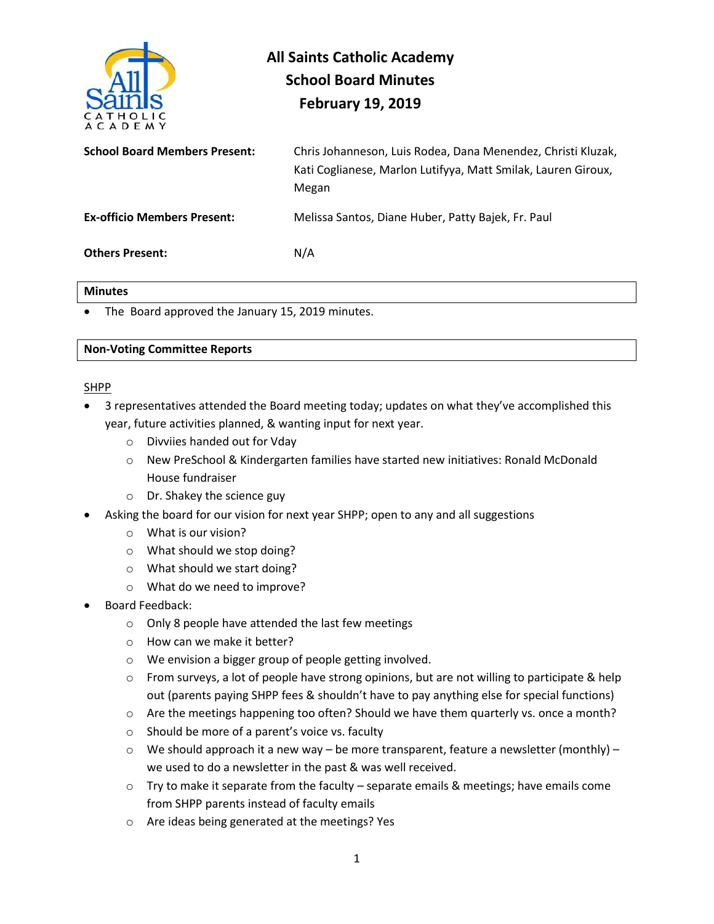

# **All Saints Catholic Academy School Board Minutes February 19, 2019**

**School Board Members Present:** Chris Johanneson, Luis Rodea, Dana Menendez, Christi Kluzak, Kati Coglianese, Marlon Lutifyya, Matt Smilak, Lauren Giroux, Megan **Ex-officio Members Present:** Melissa Santos, Diane Huber, Patty Bajek, Fr. Paul **Others Present:** N/A

#### **Minutes**

• The Board approved the January 15, 2019 minutes.

#### **Non-Voting Committee Reports**

#### SHPP

- 3 representatives attended the Board meeting today; updates on what they've accomplished this year, future activities planned, & wanting input for next year.
	- o Divviies handed out for Vday
	- o New PreSchool & Kindergarten families have started new initiatives: Ronald McDonald House fundraiser
	- o Dr. Shakey the science guy
- Asking the board for our vision for next year SHPP; open to any and all suggestions
	- o What is our vision?
	- o What should we stop doing?
	- o What should we start doing?
	- o What do we need to improve?
- Board Feedback:
	- o Only 8 people have attended the last few meetings
	- o How can we make it better?
	- o We envision a bigger group of people getting involved.
	- $\circ$  From surveys, a lot of people have strong opinions, but are not willing to participate & help out (parents paying SHPP fees & shouldn't have to pay anything else for special functions)
	- o Are the meetings happening too often? Should we have them quarterly vs. once a month?
	- o Should be more of a parent's voice vs. faculty
	- $\circ$  We should approach it a new way be more transparent, feature a newsletter (monthly) we used to do a newsletter in the past & was well received.
	- $\circ$  Try to make it separate from the faculty separate emails & meetings; have emails come from SHPP parents instead of faculty emails
	- o Are ideas being generated at the meetings? Yes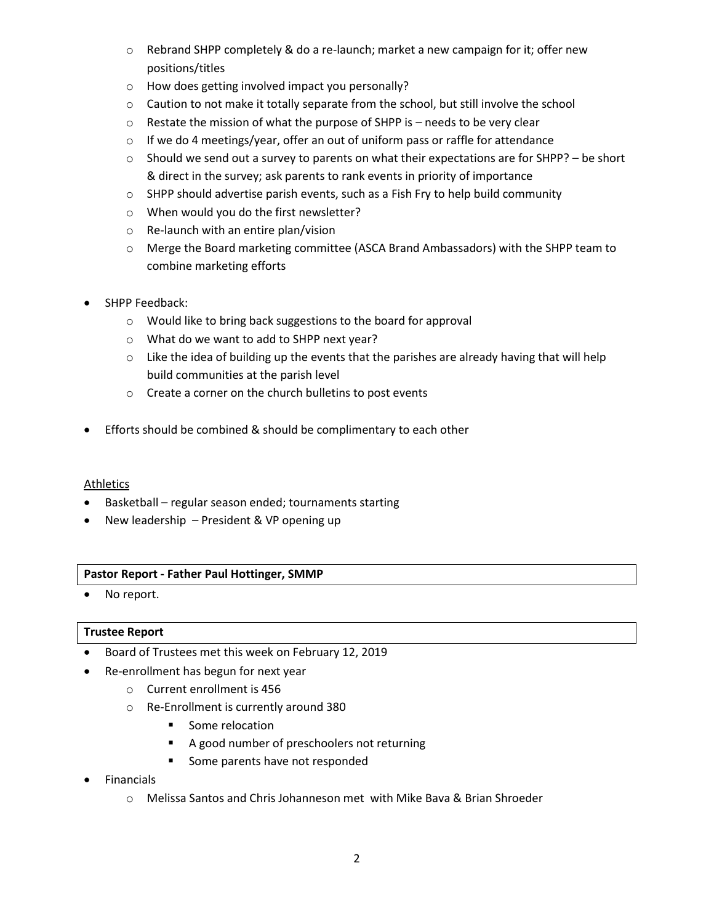- $\circ$  Rebrand SHPP completely & do a re-launch; market a new campaign for it; offer new positions/titles
- o How does getting involved impact you personally?
- $\circ$  Caution to not make it totally separate from the school, but still involve the school
- o Restate the mission of what the purpose of SHPP is needs to be very clear
- o If we do 4 meetings/year, offer an out of uniform pass or raffle for attendance
- $\circ$  Should we send out a survey to parents on what their expectations are for SHPP? be short & direct in the survey; ask parents to rank events in priority of importance
- o SHPP should advertise parish events, such as a Fish Fry to help build community
- o When would you do the first newsletter?
- o Re-launch with an entire plan/vision
- o Merge the Board marketing committee (ASCA Brand Ambassadors) with the SHPP team to combine marketing efforts
- SHPP Feedback:
	- o Would like to bring back suggestions to the board for approval
	- o What do we want to add to SHPP next year?
	- $\circ$  Like the idea of building up the events that the parishes are already having that will help build communities at the parish level
	- o Create a corner on the church bulletins to post events
- Efforts should be combined & should be complimentary to each other

## Athletics

- Basketball regular season ended; tournaments starting
- New leadership President & VP opening up

## **Pastor Report - Father Paul Hottinger, SMMP**

• No report.

## **Trustee Report**

- Board of Trustees met this week on February 12, 2019
	- Re-enrollment has begun for next year
- o Current enrollment is 456
	- o Re-Enrollment is currently around 380
		- Some relocation
		- A good number of preschoolers not returning
		- Some parents have not responded
- Financials
	- o Melissa Santos and Chris Johanneson met with Mike Bava & Brian Shroeder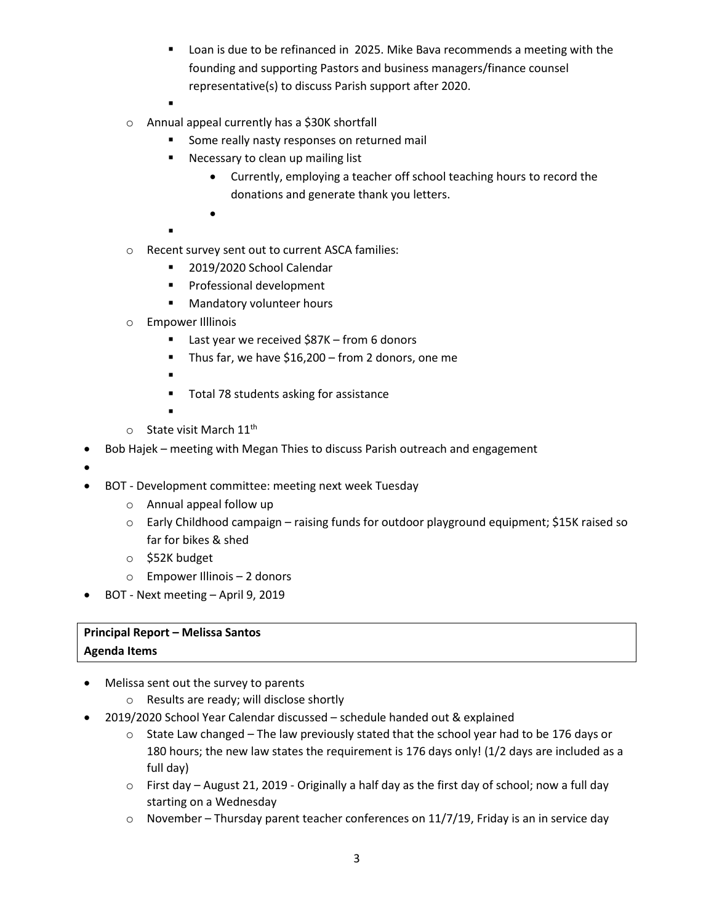- Loan is due to be refinanced in 2025. Mike Bava recommends a meeting with the founding and supporting Pastors and business managers/finance counsel representative(s) to discuss Parish support after 2020.
- ▪
- o Annual appeal currently has a \$30K shortfall
	- Some really nasty responses on returned mail
	- Necessary to clean up mailing list
		- Currently, employing a teacher off school teaching hours to record the donations and generate thank you letters.
		-

•

- ▪
- o Recent survey sent out to current ASCA families:
	- 2019/2020 School Calendar
	- Professional development
	- Mandatory volunteer hours
- o Empower Illlinois
	- Last year we received \$87K from 6 donors
	- Thus far, we have \$16,200 from 2 donors, one me
	- ▪
	- Total 78 students asking for assistance
	- ▪
- $\circ$  State visit March 11<sup>th</sup>
- Bob Hajek meeting with Megan Thies to discuss Parish outreach and engagement
- •
- BOT Development committee: meeting next week Tuesday
	- o Annual appeal follow up
	- o Early Childhood campaign raising funds for outdoor playground equipment; \$15K raised so far for bikes & shed
	- o \$52K budget
	- o Empower Illinois 2 donors
- BOT Next meeting April 9, 2019

## **Principal Report – Melissa Santos Agenda Items**

- 
- Melissa sent out the survey to parents
	- o Results are ready; will disclose shortly
- 2019/2020 School Year Calendar discussed schedule handed out & explained
	- $\circ$  State Law changed The law previously stated that the school year had to be 176 days or 180 hours; the new law states the requirement is 176 days only! (1/2 days are included as a full day)
	- $\circ$  First day August 21, 2019 Originally a half day as the first day of school; now a full day starting on a Wednesday
	- $\circ$  November Thursday parent teacher conferences on 11/7/19, Friday is an in service day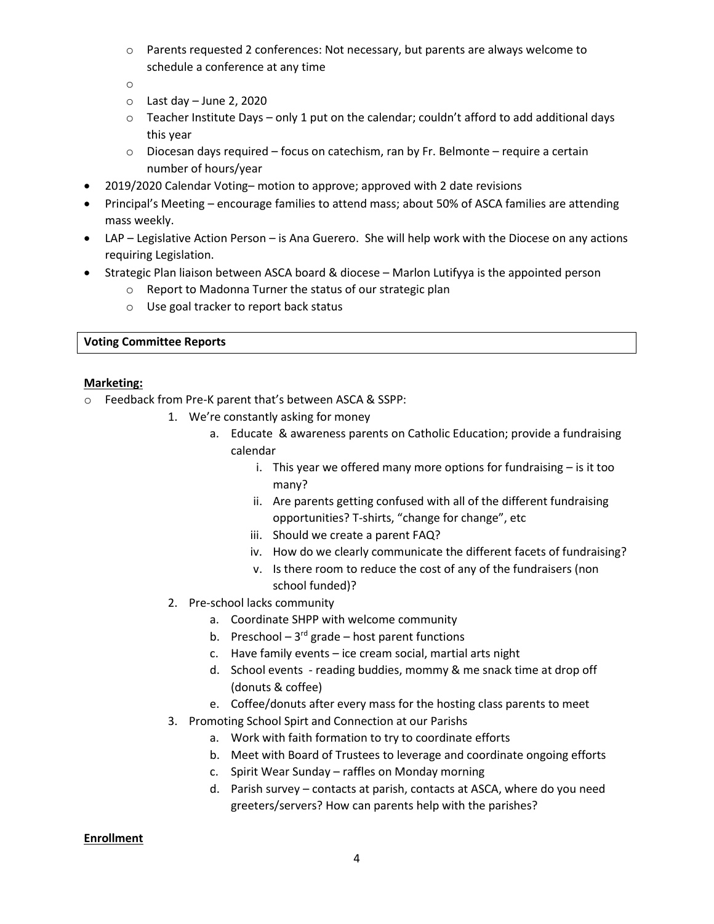o Parents requested 2 conferences: Not necessary, but parents are always welcome to schedule a conference at any time

o

- $\circ$  Last day June 2, 2020
- $\circ$  Teacher Institute Days only 1 put on the calendar; couldn't afford to add additional days this year
- $\circ$  Diocesan days required focus on catechism, ran by Fr. Belmonte require a certain number of hours/year
- 2019/2020 Calendar Voting– motion to approve; approved with 2 date revisions
- Principal's Meeting encourage families to attend mass; about 50% of ASCA families are attending mass weekly.
- LAP Legislative Action Person is Ana Guerero. She will help work with the Diocese on any actions requiring Legislation.
- Strategic Plan liaison between ASCA board & diocese Marlon Lutifyya is the appointed person
	- o Report to Madonna Turner the status of our strategic plan
	- o Use goal tracker to report back status

#### **Voting Committee Reports**

#### **Marketing:**

- o Feedback from Pre-K parent that's between ASCA & SSPP:
	- 1. We're constantly asking for money
		- a. Educate & awareness parents on Catholic Education; provide a fundraising calendar
			- i. This year we offered many more options for fundraising is it too many?
			- ii. Are parents getting confused with all of the different fundraising opportunities? T-shirts, "change for change", etc
			- iii. Should we create a parent FAQ?
			- iv. How do we clearly communicate the different facets of fundraising?
			- v. Is there room to reduce the cost of any of the fundraisers (non school funded)?
	- 2. Pre-school lacks community
		- a. Coordinate SHPP with welcome community
		- b. Preschool  $-3^{rd}$  grade  $-$  host parent functions
		- c. Have family events ice cream social, martial arts night
		- d. School events reading buddies, mommy & me snack time at drop off (donuts & coffee)
		- e. Coffee/donuts after every mass for the hosting class parents to meet
	- 3. Promoting School Spirt and Connection at our Parishs
		- a. Work with faith formation to try to coordinate efforts
		- b. Meet with Board of Trustees to leverage and coordinate ongoing efforts
		- c. Spirit Wear Sunday raffles on Monday morning
		- d. Parish survey contacts at parish, contacts at ASCA, where do you need greeters/servers? How can parents help with the parishes?

#### **Enrollment**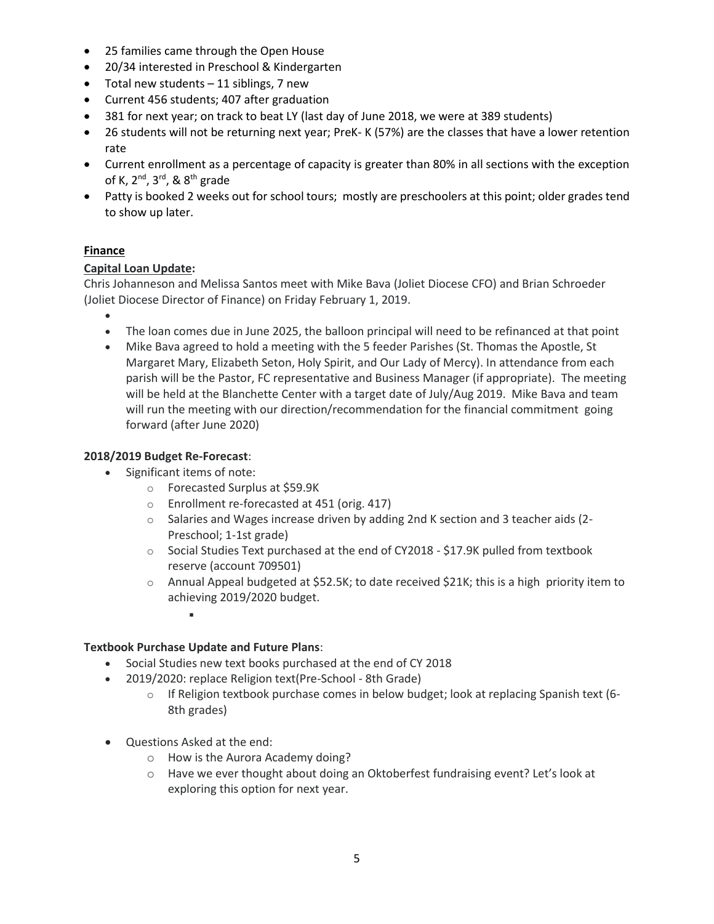- 25 families came through the Open House
- 20/34 interested in Preschool & Kindergarten
- Total new students 11 siblings, 7 new
- Current 456 students; 407 after graduation
- 381 for next year; on track to beat LY (last day of June 2018, we were at 389 students)
- 26 students will not be returning next year; PreK- K (57%) are the classes that have a lower retention rate
- Current enrollment as a percentage of capacity is greater than 80% in all sections with the exception of K, 2nd, 3rd, & 8th grade
- Patty is booked 2 weeks out for school tours; mostly are preschoolers at this point; older grades tend to show up later.

# **Finance**

## **Capital Loan Update:**

Chris Johanneson and Melissa Santos meet with Mike Bava (Joliet Diocese CFO) and Brian Schroeder (Joliet Diocese Director of Finance) on Friday February 1, 2019.

- •
- The loan comes due in June 2025, the balloon principal will need to be refinanced at that point
- Mike Bava agreed to hold a meeting with the 5 feeder Parishes (St. Thomas the Apostle, St Margaret Mary, Elizabeth Seton, Holy Spirit, and Our Lady of Mercy). In attendance from each parish will be the Pastor, FC representative and Business Manager (if appropriate). The meeting will be held at the Blanchette Center with a target date of July/Aug 2019. Mike Bava and team will run the meeting with our direction/recommendation for the financial commitment going forward (after June 2020)

## **2018/2019 Budget Re-Forecast**:

- Significant items of note:
	- o Forecasted Surplus at \$59.9K
	- o Enrollment re-forecasted at 451 (orig. 417)
	- o Salaries and Wages increase driven by adding 2nd K section and 3 teacher aids (2- Preschool; 1-1st grade)
	- o Social Studies Text purchased at the end of CY2018 \$17.9K pulled from textbook reserve (account 709501)
	- o Annual Appeal budgeted at \$52.5K; to date received \$21K; this is a high priority item to achieving 2019/2020 budget.
		- ▪

## **Textbook Purchase Update and Future Plans**:

- Social Studies new text books purchased at the end of CY 2018
- 2019/2020: replace Religion text(Pre-School 8th Grade)
	- $\circ$  If Religion textbook purchase comes in below budget; look at replacing Spanish text (6-8th grades)
- Questions Asked at the end:
	- o How is the Aurora Academy doing?
	- o Have we ever thought about doing an Oktoberfest fundraising event? Let's look at exploring this option for next year.